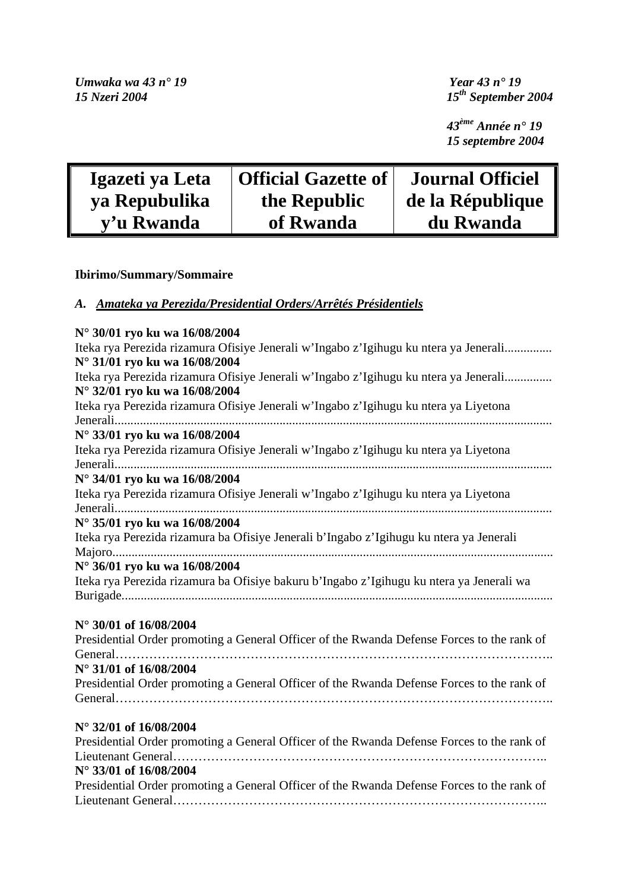*43ème Année n° 19 15 septembre 2004* 

| Igazeti ya Leta | <b>Official Gazette of</b> | <b>Journal Officiel</b> |
|-----------------|----------------------------|-------------------------|
| ya Repubulika   | the Republic               | de la République        |
| y'u Rwanda      | of Rwanda                  | du Rwanda               |

# **Ibirimo/Summary/Sommaire**

## *A. Amateka ya Perezida/Presidential Orders/Arrêtés Présidentiels*

| N° 30/01 ryo ku wa 16/08/2004                                                                                         |
|-----------------------------------------------------------------------------------------------------------------------|
| Iteka rya Perezida rizamura Ofisiye Jenerali w'Ingabo z'Igihugu ku ntera ya Jenerali<br>N° 31/01 ryo ku wa 16/08/2004 |
| Iteka rya Perezida rizamura Ofisiye Jenerali w'Ingabo z'Igihugu ku ntera ya Jenerali                                  |
| N° 32/01 ryo ku wa 16/08/2004                                                                                         |
| Iteka rya Perezida rizamura Ofisiye Jenerali w'Ingabo z'Igihugu ku ntera ya Liyetona                                  |
| N° 33/01 ryo ku wa 16/08/2004                                                                                         |
| Iteka rya Perezida rizamura Ofisiye Jenerali w'Ingabo z'Igihugu ku ntera ya Liyetona                                  |
| N° 34/01 ryo ku wa 16/08/2004                                                                                         |
| Iteka rya Perezida rizamura Ofisiye Jenerali w'Ingabo z'Igihugu ku ntera ya Liyetona                                  |
| N° 35/01 ryo ku wa 16/08/2004                                                                                         |
| Iteka rya Perezida rizamura ba Ofisiye Jenerali b'Ingabo z'Igihugu ku ntera ya Jenerali                               |
| N° 36/01 ryo ku wa 16/08/2004                                                                                         |
| Iteka rya Perezida rizamura ba Ofisiye bakuru b'Ingabo z'Igihugu ku ntera ya Jenerali wa                              |
|                                                                                                                       |
| N° 30/01 of 16/08/2004                                                                                                |
| Presidential Order promoting a General Officer of the Rwanda Defense Forces to the rank of                            |
| N° 31/01 of 16/08/2004                                                                                                |
| Presidential Order promoting a General Officer of the Rwanda Defense Forces to the rank of                            |
|                                                                                                                       |
|                                                                                                                       |
| N° 32/01 of 16/08/2004                                                                                                |
| Presidential Order promoting a General Officer of the Rwanda Defense Forces to the rank of                            |
|                                                                                                                       |
| N° 33/01 of 16/08/2004                                                                                                |
| Presidential Order promoting a General Officer of the Rwanda Defense Forces to the rank of                            |
|                                                                                                                       |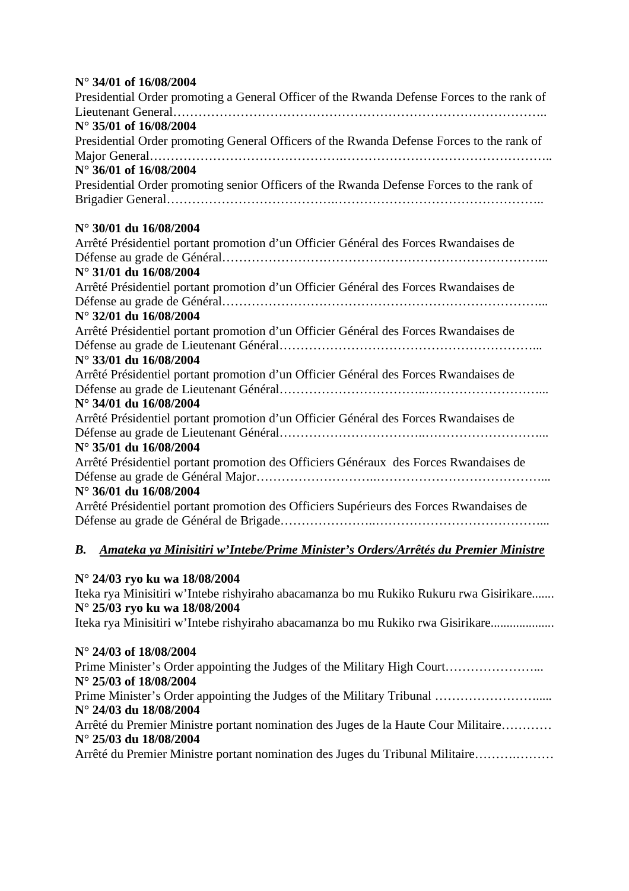### **N° 34/01 of 16/08/2004**

| Presidential Order promoting a General Officer of the Rwanda Defense Forces to the rank of |
|--------------------------------------------------------------------------------------------|
|                                                                                            |
| N° 35/01 of 16/08/2004                                                                     |
| Presidential Order promoting General Officers of the Rwanda Defense Forces to the rank of  |
|                                                                                            |
| N° 36/01 of 16/08/2004                                                                     |
| Presidential Order promoting senior Officers of the Rwanda Defense Forces to the rank of   |
|                                                                                            |
| N° 30/01 du 16/08/2004                                                                     |
| Arrêté Présidentiel portant promotion d'un Officier Général des Forces Rwandaises de       |
|                                                                                            |
| N° 31/01 du 16/08/2004                                                                     |
| Arrêté Présidentiel portant promotion d'un Officier Général des Forces Rwandaises de       |
|                                                                                            |
| N° 32/01 du 16/08/2004                                                                     |
| Arrêté Présidentiel portant promotion d'un Officier Général des Forces Rwandaises de       |
|                                                                                            |
| N° 33/01 du 16/08/2004                                                                     |
| Arrêté Présidentiel portant promotion d'un Officier Général des Forces Rwandaises de       |
|                                                                                            |
| N° 34/01 du 16/08/2004                                                                     |
| Arrêté Présidentiel portant promotion d'un Officier Général des Forces Rwandaises de       |
|                                                                                            |
| N° 35/01 du 16/08/2004                                                                     |
| Arrêté Présidentiel portant promotion des Officiers Généraux des Forces Rwandaises de      |
|                                                                                            |
| N° 36/01 du 16/08/2004                                                                     |
| Arrêté Présidentiel portant promotion des Officiers Supérieurs des Forces Rwandaises de    |
|                                                                                            |
|                                                                                            |

#### *B.**Amateka ya Minisitiri w'Intebe/Prime Minister's Orders/Arrêtés du Premier Ministre*

### **N° 24/03 ryo ku wa 18/08/2004**

Iteka rya Minisitiri w'Intebe rishyiraho abacamanza bo mu Rukiko Rukuru rwa Gisirikare....... **N° 25/03 ryo ku wa 18/08/2004** 

Iteka rya Minisitiri w'Intebe rishyiraho abacamanza bo mu Rukiko rwa Gisirikare....................

#### **N° 24/03 of 18/08/2004**

Prime Minister's Order appointing the Judges of the Military High Court………………………. **N° 25/03 of 18/08/2004**  Prime Minister's Order appointing the Judges of the Military Tribunal ……………………………

## **N° 24/03 du 18/08/2004**

Arrêté du Premier Ministre portant nomination des Juges de la Haute Cour Militaire………… **N° 25/03 du 18/08/2004** 

Arrêté du Premier Ministre portant nomination des Juges du Tribunal Militaire……….………